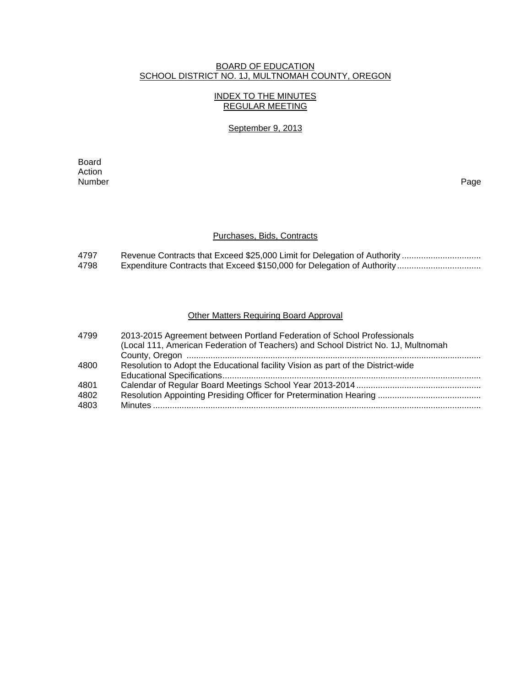## BOARD OF EDUCATION SCHOOL DISTRICT NO. 1J, MULTNOMAH COUNTY, OREGON

## INDEX TO THE MINUTES REGULAR MEETING

#### September 9, 2013

**Board Board** Action<br>Number Number Page

#### Purchases, Bids, Contracts

4797 Revenue Contracts that Exceed \$25,000 Limit for Delegation of Authority ................................ 4798 Expenditure Contracts that Exceed \$150,000 for Delegation of Authority .................................

# **Other Matters Requiring Board Approval**

| 4799 | 2013-2015 Agreement between Portland Federation of School Professionals<br>(Local 111, American Federation of Teachers) and School District No. 1J, Multnomah |
|------|---------------------------------------------------------------------------------------------------------------------------------------------------------------|
|      |                                                                                                                                                               |
| 4800 | Resolution to Adopt the Educational facility Vision as part of the District-wide                                                                              |
|      |                                                                                                                                                               |
| 4801 |                                                                                                                                                               |
| 4802 |                                                                                                                                                               |
| 4803 |                                                                                                                                                               |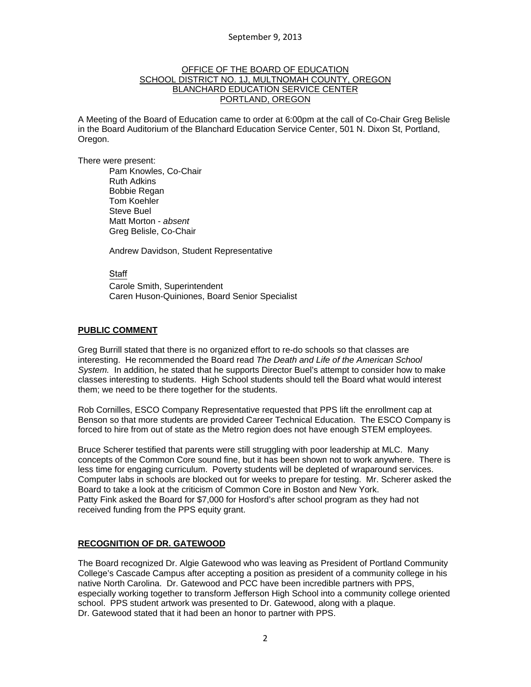## OFFICE OF THE BOARD OF EDUCATION SCHOOL DISTRICT NO. 1J, MULTNOMAH COUNTY, OREGON BLANCHARD EDUCATION SERVICE CENTER PORTLAND, OREGON

A Meeting of the Board of Education came to order at 6:00pm at the call of Co-Chair Greg Belisle in the Board Auditorium of the Blanchard Education Service Center, 501 N. Dixon St, Portland, Oregon.

There were present: Pam Knowles, Co-Chair Ruth Adkins Bobbie Regan Tom Koehler Steve Buel Matt Morton - *absent* Greg Belisle, Co-Chair

Andrew Davidson, Student Representative

Staff

 Carole Smith, Superintendent Caren Huson-Quiniones, Board Senior Specialist

## **PUBLIC COMMENT**

Greg Burrill stated that there is no organized effort to re-do schools so that classes are interesting. He recommended the Board read *The Death and Life of the American School System.* In addition, he stated that he supports Director Buel's attempt to consider how to make classes interesting to students. High School students should tell the Board what would interest them; we need to be there together for the students.

Rob Cornilles, ESCO Company Representative requested that PPS lift the enrollment cap at Benson so that more students are provided Career Technical Education. The ESCO Company is forced to hire from out of state as the Metro region does not have enough STEM employees.

Bruce Scherer testified that parents were still struggling with poor leadership at MLC. Many concepts of the Common Core sound fine, but it has been shown not to work anywhere. There is less time for engaging curriculum. Poverty students will be depleted of wraparound services. Computer labs in schools are blocked out for weeks to prepare for testing. Mr. Scherer asked the Board to take a look at the criticism of Common Core in Boston and New York. Patty Fink asked the Board for \$7,000 for Hosford's after school program as they had not received funding from the PPS equity grant.

# **RECOGNITION OF DR. GATEWOOD**

The Board recognized Dr. Algie Gatewood who was leaving as President of Portland Community College's Cascade Campus after accepting a position as president of a community college in his native North Carolina. Dr. Gatewood and PCC have been incredible partners with PPS, especially working together to transform Jefferson High School into a community college oriented school. PPS student artwork was presented to Dr. Gatewood, along with a plaque. Dr. Gatewood stated that it had been an honor to partner with PPS.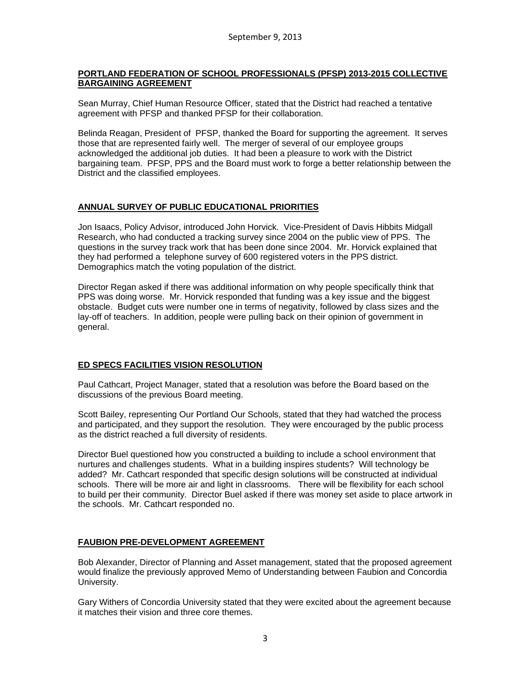## **PORTLAND FEDERATION OF SCHOOL PROFESSIONALS (PFSP) 2013-2015 COLLECTIVE BARGAINING AGREEMENT**

Sean Murray, Chief Human Resource Officer, stated that the District had reached a tentative agreement with PFSP and thanked PFSP for their collaboration.

Belinda Reagan, President of PFSP, thanked the Board for supporting the agreement. It serves those that are represented fairly well. The merger of several of our employee groups acknowledged the additional job duties. It had been a pleasure to work with the District bargaining team. PFSP, PPS and the Board must work to forge a better relationship between the District and the classified employees.

# **ANNUAL SURVEY OF PUBLIC EDUCATIONAL PRIORITIES**

Jon Isaacs, Policy Advisor, introduced John Horvick. Vice-President of Davis Hibbits Midgall Research, who had conducted a tracking survey since 2004 on the public view of PPS. The questions in the survey track work that has been done since 2004. Mr. Horvick explained that they had performed a telephone survey of 600 registered voters in the PPS district. Demographics match the voting population of the district.

Director Regan asked if there was additional information on why people specifically think that PPS was doing worse. Mr. Horvick responded that funding was a key issue and the biggest obstacle. Budget cuts were number one in terms of negativity, followed by class sizes and the lay-off of teachers. In addition, people were pulling back on their opinion of government in general.

# **ED SPECS FACILITIES VISION RESOLUTION**

Paul Cathcart, Project Manager, stated that a resolution was before the Board based on the discussions of the previous Board meeting.

Scott Bailey, representing Our Portland Our Schools, stated that they had watched the process and participated, and they support the resolution. They were encouraged by the public process as the district reached a full diversity of residents.

Director Buel questioned how you constructed a building to include a school environment that nurtures and challenges students. What in a building inspires students? Will technology be added? Mr. Cathcart responded that specific design solutions will be constructed at individual schools. There will be more air and light in classrooms. There will be flexibility for each school to build per their community. Director Buel asked if there was money set aside to place artwork in the schools. Mr. Cathcart responded no.

# **FAUBION PRE-DEVELOPMENT AGREEMENT**

Bob Alexander, Director of Planning and Asset management, stated that the proposed agreement would finalize the previously approved Memo of Understanding between Faubion and Concordia University.

Gary Withers of Concordia University stated that they were excited about the agreement because it matches their vision and three core themes.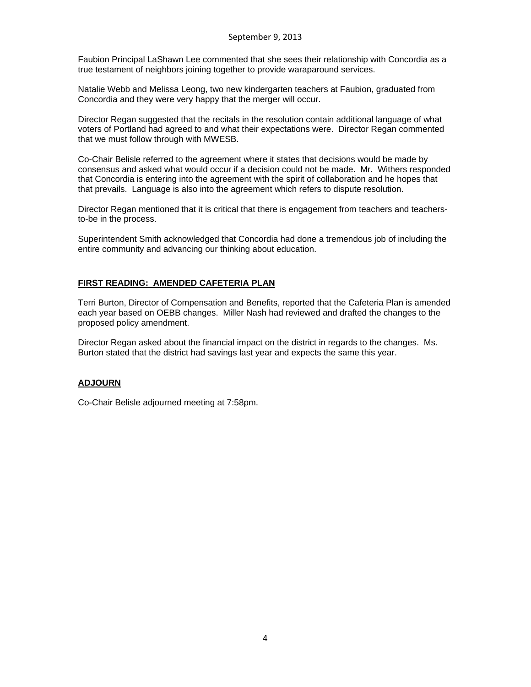Faubion Principal LaShawn Lee commented that she sees their relationship with Concordia as a true testament of neighbors joining together to provide waraparound services.

Natalie Webb and Melissa Leong, two new kindergarten teachers at Faubion, graduated from Concordia and they were very happy that the merger will occur.

Director Regan suggested that the recitals in the resolution contain additional language of what voters of Portland had agreed to and what their expectations were. Director Regan commented that we must follow through with MWESB.

Co-Chair Belisle referred to the agreement where it states that decisions would be made by consensus and asked what would occur if a decision could not be made. Mr. Withers responded that Concordia is entering into the agreement with the spirit of collaboration and he hopes that that prevails. Language is also into the agreement which refers to dispute resolution.

Director Regan mentioned that it is critical that there is engagement from teachers and teachersto-be in the process.

Superintendent Smith acknowledged that Concordia had done a tremendous job of including the entire community and advancing our thinking about education.

## **FIRST READING: AMENDED CAFETERIA PLAN**

Terri Burton, Director of Compensation and Benefits, reported that the Cafeteria Plan is amended each year based on OEBB changes. Miller Nash had reviewed and drafted the changes to the proposed policy amendment.

Director Regan asked about the financial impact on the district in regards to the changes. Ms. Burton stated that the district had savings last year and expects the same this year.

#### **ADJOURN**

Co-Chair Belisle adjourned meeting at 7:58pm.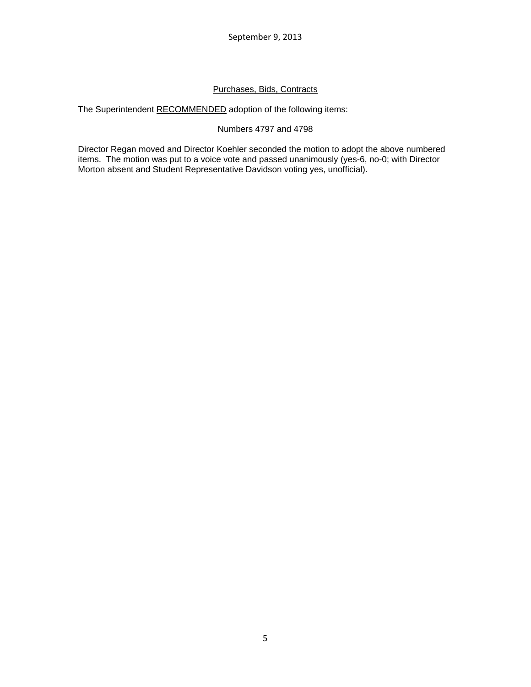# Purchases, Bids, Contracts

The Superintendent RECOMMENDED adoption of the following items:

# Numbers 4797 and 4798

Director Regan moved and Director Koehler seconded the motion to adopt the above numbered items. The motion was put to a voice vote and passed unanimously (yes-6, no-0; with Director Morton absent and Student Representative Davidson voting yes, unofficial).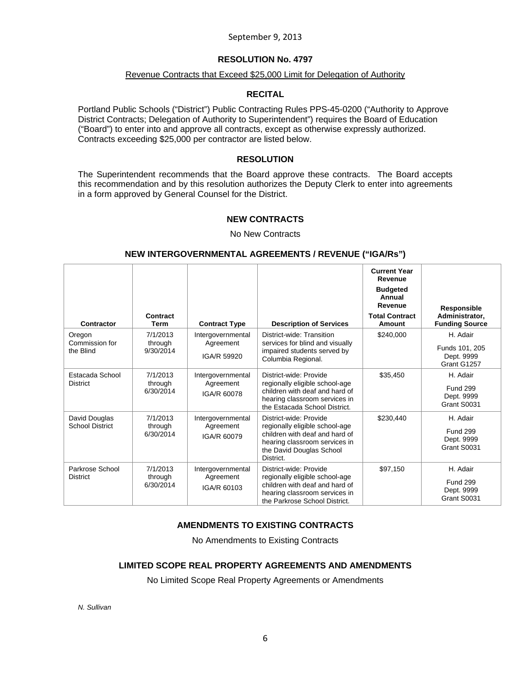# **RESOLUTION No. 4797**

#### Revenue Contracts that Exceed \$25,000 Limit for Delegation of Authority

## **RECITAL**

Portland Public Schools ("District") Public Contracting Rules PPS-45-0200 ("Authority to Approve District Contracts; Delegation of Authority to Superintendent") requires the Board of Education ("Board") to enter into and approve all contracts, except as otherwise expressly authorized. Contracts exceeding \$25,000 per contractor are listed below.

## **RESOLUTION**

The Superintendent recommends that the Board approve these contracts. The Board accepts this recommendation and by this resolution authorizes the Deputy Clerk to enter into agreements in a form approved by General Counsel for the District.

## **NEW CONTRACTS**

No New Contracts

#### **NEW INTERGOVERNMENTAL AGREEMENTS / REVENUE ("IGA/Rs")**

| Contractor                              | Contract<br>Term                 | <b>Contract Type</b>                          | <b>Description of Services</b>                                                                                                                                       | <b>Current Year</b><br>Revenue<br><b>Budgeted</b><br>Annual<br>Revenue<br><b>Total Contract</b><br>Amount | Responsible<br>Administrator,<br><b>Funding Source</b>   |
|-----------------------------------------|----------------------------------|-----------------------------------------------|----------------------------------------------------------------------------------------------------------------------------------------------------------------------|-----------------------------------------------------------------------------------------------------------|----------------------------------------------------------|
| Oregon<br>Commission for<br>the Blind   | 7/1/2013<br>through<br>9/30/2014 | Intergovernmental<br>Agreement<br>IGA/R 59920 | District-wide: Transition<br>services for blind and visually<br>impaired students served by<br>Columbia Regional.                                                    | \$240,000                                                                                                 | H. Adair<br>Funds 101, 205<br>Dept. 9999<br>Grant G1257  |
| Estacada School<br><b>District</b>      | 7/1/2013<br>through<br>6/30/2014 | Intergovernmental<br>Agreement<br>IGA/R 60078 | District-wide: Provide<br>regionally eligible school-age<br>children with deaf and hard of<br>hearing classroom services in<br>the Estacada School District.         | \$35,450                                                                                                  | H. Adair<br><b>Fund 299</b><br>Dept. 9999<br>Grant S0031 |
| David Douglas<br><b>School District</b> | 7/1/2013<br>through<br>6/30/2014 | Intergovernmental<br>Agreement<br>IGA/R 60079 | District-wide: Provide<br>regionally eligible school-age<br>children with deaf and hard of<br>hearing classroom services in<br>the David Douglas School<br>District. | \$230,440                                                                                                 | H. Adair<br><b>Fund 299</b><br>Dept. 9999<br>Grant S0031 |
| Parkrose School<br><b>District</b>      | 7/1/2013<br>through<br>6/30/2014 | Intergovernmental<br>Agreement<br>IGA/R 60103 | District-wide: Provide<br>regionally eligible school-age<br>children with deaf and hard of<br>hearing classroom services in<br>the Parkrose School District.         | \$97,150                                                                                                  | H. Adair<br><b>Fund 299</b><br>Dept. 9999<br>Grant S0031 |

# **AMENDMENTS TO EXISTING CONTRACTS**

No Amendments to Existing Contracts

#### **LIMITED SCOPE REAL PROPERTY AGREEMENTS AND AMENDMENTS**

No Limited Scope Real Property Agreements or Amendments

*N. Sullivan*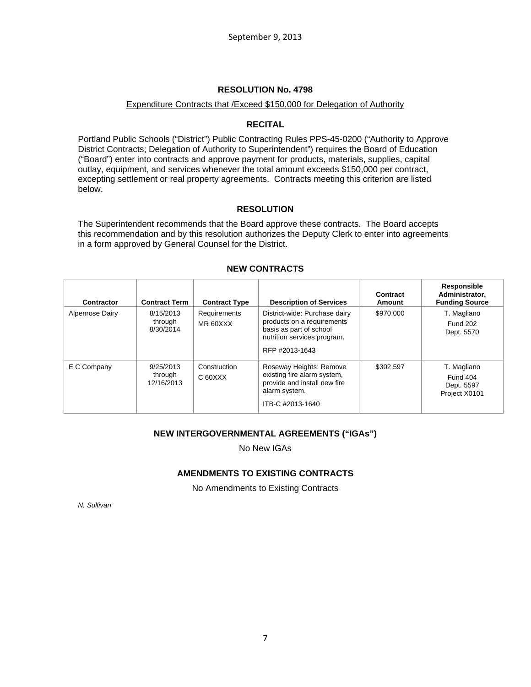#### Expenditure Contracts that /Exceed \$150,000 for Delegation of Authority

## **RECITAL**

Portland Public Schools ("District") Public Contracting Rules PPS-45-0200 ("Authority to Approve District Contracts; Delegation of Authority to Superintendent") requires the Board of Education ("Board") enter into contracts and approve payment for products, materials, supplies, capital outlay, equipment, and services whenever the total amount exceeds \$150,000 per contract, excepting settlement or real property agreements. Contracts meeting this criterion are listed below.

## **RESOLUTION**

The Superintendent recommends that the Board approve these contracts. The Board accepts this recommendation and by this resolution authorizes the Deputy Clerk to enter into agreements in a form approved by General Counsel for the District.

| Contractor      | <b>Contract Term</b>               | <b>Contract Type</b>     | <b>Description of Services</b>                                                                                                          | Contract<br>Amount | Responsible<br>Administrator,<br><b>Funding Source</b> |
|-----------------|------------------------------------|--------------------------|-----------------------------------------------------------------------------------------------------------------------------------------|--------------------|--------------------------------------------------------|
| Alpenrose Dairy | 8/15/2013<br>through<br>8/30/2014  | Requirements<br>MR 60XXX | District-wide: Purchase dairy<br>products on a requirements<br>basis as part of school<br>nutrition services program.<br>RFP #2013-1643 | \$970,000          | T. Magliano<br><b>Fund 202</b><br>Dept. 5570           |
| E C Company     | 9/25/2013<br>through<br>12/16/2013 | Construction<br>C 60XXX  | Roseway Heights: Remove<br>existing fire alarm system,<br>provide and install new fire<br>alarm system.<br>ITB-C #2013-1640             | \$302.597          | T. Magliano<br>Fund 404<br>Dept. 5597<br>Project X0101 |

## **NEW CONTRACTS**

# **NEW INTERGOVERNMENTAL AGREEMENTS ("IGAs")**

No New IGAs

# **AMENDMENTS TO EXISTING CONTRACTS**

No Amendments to Existing Contracts

*N. Sullivan*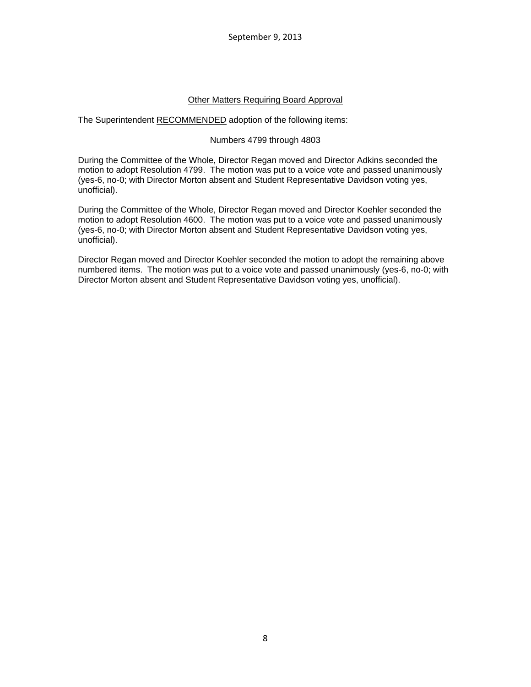# Other Matters Requiring Board Approval

The Superintendent RECOMMENDED adoption of the following items:

## Numbers 4799 through 4803

During the Committee of the Whole, Director Regan moved and Director Adkins seconded the motion to adopt Resolution 4799. The motion was put to a voice vote and passed unanimously (yes-6, no-0; with Director Morton absent and Student Representative Davidson voting yes, unofficial).

During the Committee of the Whole, Director Regan moved and Director Koehler seconded the motion to adopt Resolution 4600. The motion was put to a voice vote and passed unanimously (yes-6, no-0; with Director Morton absent and Student Representative Davidson voting yes, unofficial).

Director Regan moved and Director Koehler seconded the motion to adopt the remaining above numbered items. The motion was put to a voice vote and passed unanimously (yes-6, no-0; with Director Morton absent and Student Representative Davidson voting yes, unofficial).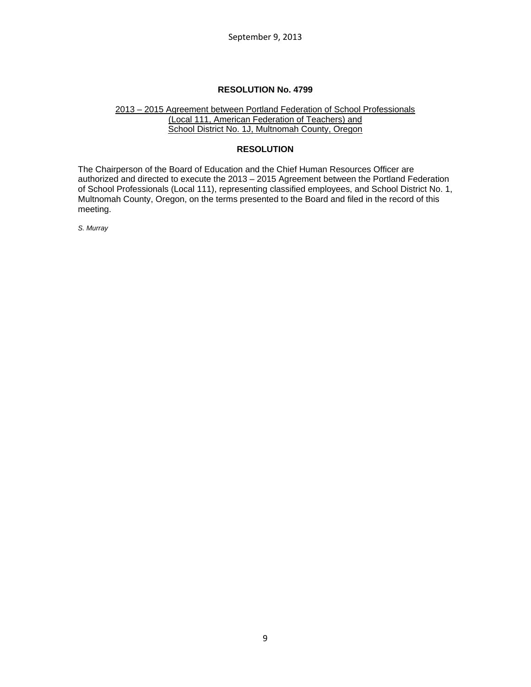#### 2013 – 2015 Agreement between Portland Federation of School Professionals (Local 111, American Federation of Teachers) and School District No. 1J, Multnomah County, Oregon

#### **RESOLUTION**

The Chairperson of the Board of Education and the Chief Human Resources Officer are authorized and directed to execute the 2013 – 2015 Agreement between the Portland Federation of School Professionals (Local 111), representing classified employees, and School District No. 1, Multnomah County, Oregon, on the terms presented to the Board and filed in the record of this meeting.

*S. Murray*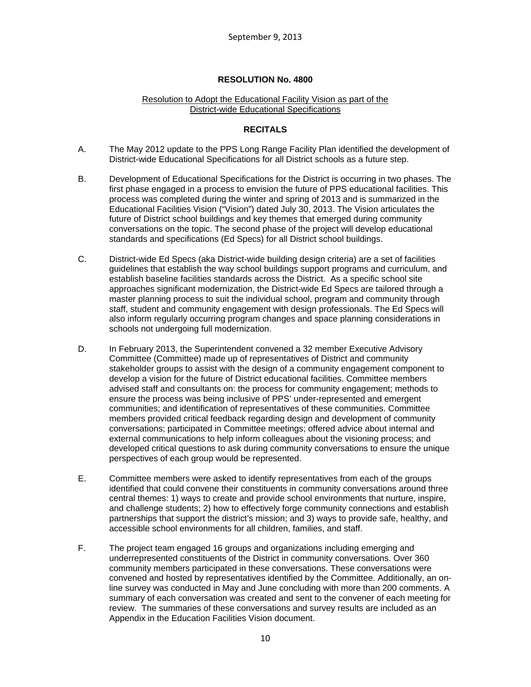## Resolution to Adopt the Educational Facility Vision as part of the District-wide Educational Specifications

# **RECITALS**

- A. The May 2012 update to the PPS Long Range Facility Plan identified the development of District-wide Educational Specifications for all District schools as a future step.
- B. Development of Educational Specifications for the District is occurring in two phases. The first phase engaged in a process to envision the future of PPS educational facilities. This process was completed during the winter and spring of 2013 and is summarized in the Educational Facilities Vision ("Vision") dated July 30, 2013. The Vision articulates the future of District school buildings and key themes that emerged during community conversations on the topic. The second phase of the project will develop educational standards and specifications (Ed Specs) for all District school buildings.
- C. District-wide Ed Specs (aka District-wide building design criteria) are a set of facilities guidelines that establish the way school buildings support programs and curriculum, and establish baseline facilities standards across the District. As a specific school site approaches significant modernization, the District-wide Ed Specs are tailored through a master planning process to suit the individual school, program and community through staff, student and community engagement with design professionals. The Ed Specs will also inform regularly occurring program changes and space planning considerations in schools not undergoing full modernization.
- D. In February 2013, the Superintendent convened a 32 member Executive Advisory Committee (Committee) made up of representatives of District and community stakeholder groups to assist with the design of a community engagement component to develop a vision for the future of District educational facilities. Committee members advised staff and consultants on: the process for community engagement; methods to ensure the process was being inclusive of PPS' under-represented and emergent communities; and identification of representatives of these communities. Committee members provided critical feedback regarding design and development of community conversations; participated in Committee meetings; offered advice about internal and external communications to help inform colleagues about the visioning process; and developed critical questions to ask during community conversations to ensure the unique perspectives of each group would be represented.
- E. Committee members were asked to identify representatives from each of the groups identified that could convene their constituents in community conversations around three central themes: 1) ways to create and provide school environments that nurture, inspire, and challenge students; 2) how to effectively forge community connections and establish partnerships that support the district's mission; and 3) ways to provide safe, healthy, and accessible school environments for all children, families, and staff.
- F. The project team engaged 16 groups and organizations including emerging and underrepresented constituents of the District in community conversations. Over 360 community members participated in these conversations. These conversations were convened and hosted by representatives identified by the Committee. Additionally, an online survey was conducted in May and June concluding with more than 200 comments. A summary of each conversation was created and sent to the convener of each meeting for review. The summaries of these conversations and survey results are included as an Appendix in the Education Facilities Vision document.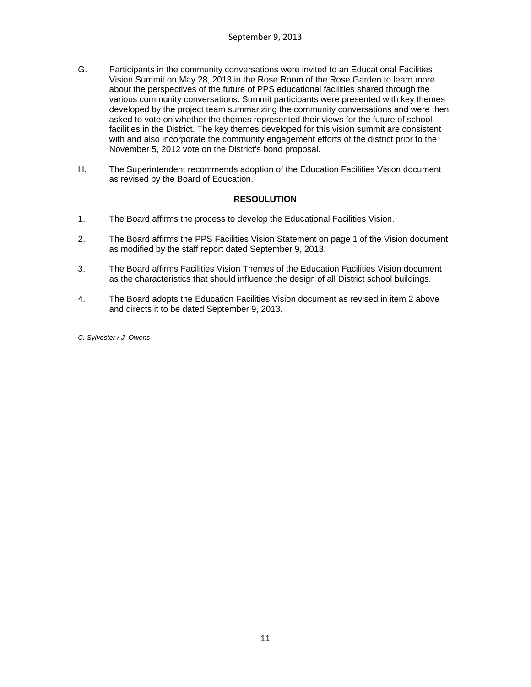- G. Participants in the community conversations were invited to an Educational Facilities Vision Summit on May 28, 2013 in the Rose Room of the Rose Garden to learn more about the perspectives of the future of PPS educational facilities shared through the various community conversations. Summit participants were presented with key themes developed by the project team summarizing the community conversations and were then asked to vote on whether the themes represented their views for the future of school facilities in the District. The key themes developed for this vision summit are consistent with and also incorporate the community engagement efforts of the district prior to the November 5, 2012 vote on the District's bond proposal.
- H. The Superintendent recommends adoption of the Education Facilities Vision document as revised by the Board of Education.

## **RESOULUTION**

- 1. The Board affirms the process to develop the Educational Facilities Vision.
- 2. The Board affirms the PPS Facilities Vision Statement on page 1 of the Vision document as modified by the staff report dated September 9, 2013.
- 3. The Board affirms Facilities Vision Themes of the Education Facilities Vision document as the characteristics that should influence the design of all District school buildings.
- 4. The Board adopts the Education Facilities Vision document as revised in item 2 above and directs it to be dated September 9, 2013.

*C. Sylvester / J. Owens*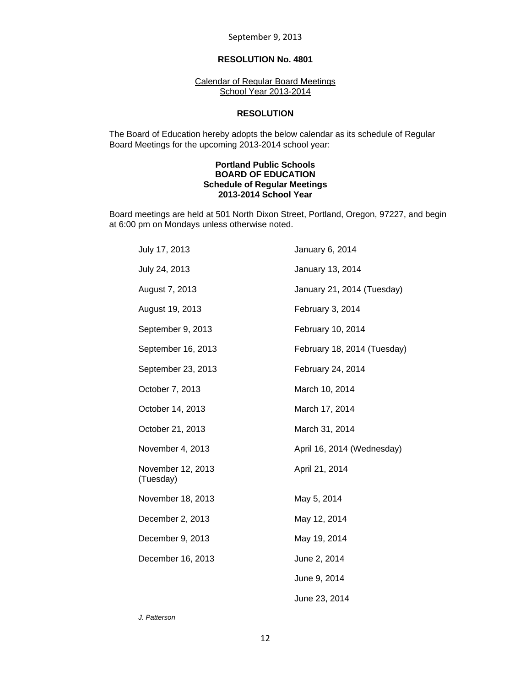## **RESOLUTION No. 4801**

Calendar of Regular Board Meetings School Year 2013-2014

#### **RESOLUTION**

 The Board of Education hereby adopts the below calendar as its schedule of Regular Board Meetings for the upcoming 2013-2014 school year:

#### **Portland Public Schools BOARD OF EDUCATION Schedule of Regular Meetings 2013-2014 School Year**

Board meetings are held at 501 North Dixon Street, Portland, Oregon, 97227, and begin at 6:00 pm on Mondays unless otherwise noted.

| July 17, 2013                  | January 6, 2014             |
|--------------------------------|-----------------------------|
| July 24, 2013                  | January 13, 2014            |
| August 7, 2013                 | January 21, 2014 (Tuesday)  |
| August 19, 2013                | February 3, 2014            |
| September 9, 2013              | February 10, 2014           |
| September 16, 2013             | February 18, 2014 (Tuesday) |
| September 23, 2013             | February 24, 2014           |
| October 7, 2013                | March 10, 2014              |
| October 14, 2013               | March 17, 2014              |
| October 21, 2013               | March 31, 2014              |
| November 4, 2013               | April 16, 2014 (Wednesday)  |
| November 12, 2013<br>(Tuesday) | April 21, 2014              |
| November 18, 2013              | May 5, 2014                 |
| December 2, 2013               | May 12, 2014                |
| December 9, 2013               | May 19, 2014                |
| December 16, 2013              | June 2, 2014                |
|                                | June 9, 2014                |
|                                | June 23, 2014               |

*J. Patterson*